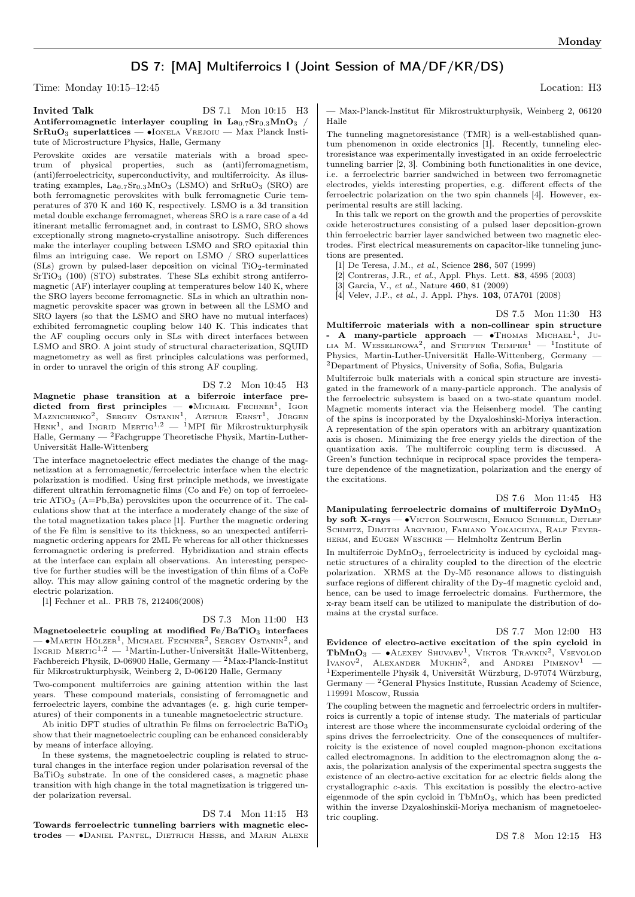## DS 7: [MA] Multiferroics I (Joint Session of MA/DF/KR/DS)

Time: Monday 10:15–12:45 Location: H3

Invited Talk DS 7.1 Mon 10:15 H3 Antiferromagnetic interlayer coupling in  $\text{La}_{0.7}\text{Sr}_{0.3}\text{MnO}_3$  / SrRuO<sup>3</sup> superlattices — ∙Ionela Vrejoiu — Max Planck Institute of Microstructure Physics, Halle, Germany

Perovskite oxides are versatile materials with a broad spectrum of physical properties, such as (anti)ferromagnetism, (anti)ferroelectricity, superconductivity, and multiferroicity. As illustrating examples,  $La_{0.7}Sr_{0.3}MnO_3$  (LSMO) and  $SrRuO_3$  (SRO) are both ferromagnetic perovskites with bulk ferromagnetic Curie temperatures of 370 K and 160 K, respectively. LSMO is a 3d transition metal double exchange ferromagnet, whereas SRO is a rare case of a 4d itinerant metallic ferromagnet and, in contrast to LSMO, SRO shows exceptionally strong magneto-crystalline anisotropy. Such differences make the interlayer coupling between LSMO and SRO epitaxial thin films an intriguing case. We report on LSMO / SRO superlattices (SLs) grown by pulsed-laser deposition on vicinal  $TiO<sub>2</sub>$ -terminated  $SrTiO<sub>3</sub>$  (100) (STO) substrates. These SLs exhibit strong antiferromagnetic (AF) interlayer coupling at temperatures below 140 K, where the SRO layers become ferromagnetic. SLs in which an ultrathin nonmagnetic perovskite spacer was grown in between all the LSMO and SRO layers (so that the LSMO and SRO have no mutual interfaces) exhibited ferromagnetic coupling below 140 K. This indicates that the AF coupling occurs only in SLs with direct interfaces between LSMO and SRO. A joint study of structural characterization, SQUID magnetometry as well as first principles calculations was performed, in order to unravel the origin of this strong AF coupling.

DS 7.2 Mon 10:45 H3 Magnetic phase transition at a biferroic interface predicted from first principles —  $\bullet$ Michael Fechner<sup>1</sup>, Igor Maznichenko<sup>2</sup>, Sergey Ostanin<sup>1</sup>, Arthur Ernst<sup>1</sup>, Jürgen  $H_{ENK}$ <sup>1</sup>, and INGRID MERTIG<sup>1,2</sup> — <sup>1</sup>MPI für Mikrostrukturphysik Halle, Germany — <sup>2</sup>Fachgruppe Theoretische Physik, Martin-Luther-Universität Halle-Wittenberg

The interface magnetoelectric effect mediates the change of the magnetization at a ferromagnetic/ferroelectric interface when the electric polarization is modified. Using first principle methods, we investigate different ultrathin ferromagnetic films (Co and Fe) on top of ferroelectric  $ATiO_3$  (A=Pb,Ba) perovskites upon the occurrence of it. The calculations show that at the interface a moderately change of the size of the total magnetization takes place [1]. Further the magnetic ordering of the Fe film is sensitive to its thickness, so an unexpected antiferrimagnetic ordering appears for 2ML Fe whereas for all other thicknesses ferromagnetic ordering is preferred. Hybridization and strain effects at the interface can explain all observations. An interesting perspective for further studies will be the investigation of thin films of a CoFe alloy. This may allow gaining control of the magnetic ordering by the electric polarization.

[1] Fechner et al.. PRB 78, 212406(2008)

## DS 7.3 Mon 11:00 H3

Magnetoelectric coupling at modified  $Fe/BaTiO<sub>3</sub>$  interfaces — •Martin Hölzer<sup>1</sup>, Michael Fechner<sup>2</sup>, Sergey Ostanin<sup>2</sup>, and<br>Ingrid Mertig<sup>1,2</sup> — <sup>1</sup>Martin-Luther-Universität Halle-Wittenberg, Fachbereich Physik, D-06900 Halle, Germany — <sup>2</sup>Max-Planck-Institut für Mikrostrukturphysik, Weinberg 2, D-06120 Halle, Germany

Two-component multiferroics are gaining attention within the last years. These compound materials, consisting of ferromagnetic and ferroelectric layers, combine the advantages (e. g. high curie temperatures) of their components in a tuneable magnetoelectric structure.

Ab initio DFT studies of ultrathin Fe films on ferroelectric BaTiO<sub>3</sub> show that their magnetoelectric coupling can be enhanced considerably by means of interface alloying.

In these systems, the magnetoelectric coupling is related to structural changes in the interface region under polarisation reversal of the  $BaTiO<sub>3</sub>$  substrate. In one of the considered cases, a magnetic phase transition with high change in the total magnetization is triggered under polarization reversal.

DS 7.4 Mon 11:15 H3 Towards ferroelectric tunneling barriers with magnetic electrodes — ∙Daniel Pantel, Dietrich Hesse, and Marin Alexe

— Max-Planck-Institut für Mikrostrukturphysik, Weinberg 2, 06120 Halle

The tunneling magnetoresistance (TMR) is a well-established quantum phenomenon in oxide electronics [1]. Recently, tunneling electroresistance was experimentally investigated in an oxide ferroelectric tunneling barrier [2, 3]. Combining both functionalities in one device, i.e. a ferroelectric barrier sandwiched in between two ferromagnetic electrodes, yields interesting properties, e.g. different effects of the ferroelectric polarization on the two spin channels [4]. However, experimental results are still lacking.

In this talk we report on the growth and the properties of perovskite oxide heterostructures consisting of a pulsed laser deposition-grown thin ferroelectric barrier layer sandwiched between two magnetic electrodes. First electrical measurements on capacitor-like tunneling junctions are presented.

[1] De Teresa, J.M., et al., Science 286, 507 (1999)

[2] Contreras, J.R., et al., Appl. Phys. Lett. 83, 4595 (2003)

[3] Garcia, V., et al., Nature 460, 81 (2009)

[4] Velev, J.P., et al., J. Appl. Phys. 103, 07A701 (2008)

DS 7.5 Mon 11:30 H3 Multiferroic materials with a non-collinear spin structure

- A many-particle approach — •Thomas MICHAEL<sup>1</sup>, JU-LIA M. WESSELINOWA<sup>2</sup>, and STEFFEN TRIMPER<sup>1</sup> - <sup>1</sup>Institute of Physics, Martin-Luther-Universität Halle-Wittenberg, Germany — <sup>2</sup>Department of Physics, University of Sofia, Sofia, Bulgaria

Multiferroic bulk materials with a conical spin structure are investigated in the framework of a many-particle approach. The analysis of the ferroelectric subsystem is based on a two-state quantum model. Magnetic moments interact via the Heisenberg model. The canting of the spins is incorporated by the Dzyaloshinski-Moriya interaction. A representation of the spin operators with an arbitrary quantization axis is chosen. Minimizing the free energy yields the direction of the quantization axis. The multiferroic coupling term is discussed. A Green's function technique in reciprocal space provides the temperature dependence of the magnetization, polarization and the energy of the excitations.

DS 7.6 Mon 11:45 H3 Manipulating ferroelectric domains of multiferroic  $DvMnO<sub>3</sub>$ by soft X-rays — ∙Victor Soltwisch, Enrico Schierle, Detlef SCHMITZ, DIMITRI ARGYRIOU, FABIANO YOKAICHIYA, RALF FEYERherm, and Eugen Weschke — Helmholtz Zentrum Berlin

In multiferroic  $DyMnO_3$ , ferroelectricity is induced by cycloidal magnetic structures of a chirality coupled to the direction of the electric polarization. XRMS at the Dy-M5 resonance allows to distinguish surface regions of different chirality of the Dy-4f magnetic cycloid and, hence, can be used to image ferroelectric domains. Furthermore, the x-ray beam itself can be utilized to manipulate the distribution of domains at the crystal surface.

DS 7.7 Mon 12:00 H3 Evidence of electro-active excitation of the spin cycloid in **TbMnO**<sub>3</sub> — •Alexey Shuvaev<sup>1</sup>, Viktor Travkin<sup>2</sup>, Vsevolod Ivanov<sup>2</sup>, Alexander Mukhin<sup>2</sup>, and Andrei Pimenov<sup>1</sup> — <sup>1</sup>Experimentelle Physik 4, Universität Würzburg, D-97074 Würzburg,  $\rm{Germany} \xrightarrow{~~}$  3<br>General Physics Institute, Russian Academy of Science, 119991 Moscow, Russia

The coupling between the magnetic and ferroelectric orders in multiferroics is currently a topic of intense study. The materials of particular interest are those where the incommensurate cycloidal ordering of the spins drives the ferroelectricity. One of the consequences of multiferroicity is the existence of novel coupled magnon-phonon excitations called electromagnons. In addition to the electromagnon along the aaxis, the polarization analysis of the experimental spectra suggests the existence of an electro-active excitation for ac electric fields along the crystallographic c-axis. This excitation is possibly the electro-active eigenmode of the spin cycloid in TbMnO3, which has been predicted within the inverse Dzyaloshinskii-Moriya mechanism of magnetoelectric coupling.